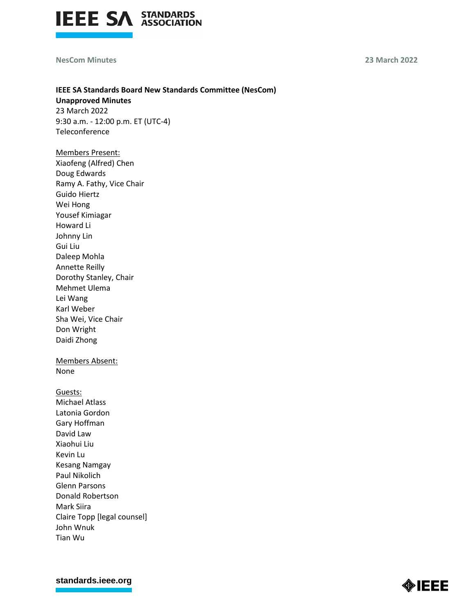

## **NesCom Minutes 23 March 2022**

# **IEEE SA Standards Board New Standards Committee (NesCom)**

**Unapproved Minutes** 23 March 2022 9:30 a.m. - 12:00 p.m. ET (UTC-4) **Teleconference** 

Members Present: Xiaofeng (Alfred) Chen Doug Edwards Ramy A. Fathy, Vice Chair Guido Hiertz Wei Hong Yousef Kimiagar Howard Li Johnny Lin Gui Liu Daleep Mohla Annette Reilly Dorothy Stanley, Chair Mehmet Ulema Lei Wang Karl Weber Sha Wei, Vice Chair Don Wright Daidi Zhong

Members Absent: None

Guests: Michael Atlass Latonia Gordon Gary Hoffman David Law Xiaohui Liu Kevin Lu Kesang Namgay Paul Nikolich Glenn Parsons Donald Robertson Mark Siira Claire Topp [legal counsel] John Wnuk Tian Wu

**[standards.ieee.org](http://standards.ieee.org/)**

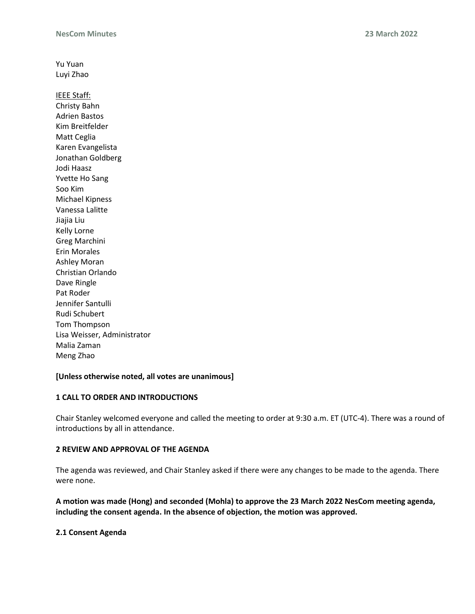Yu Yuan Luyi Zhao IEEE Staff: Christy Bahn Adrien Bastos Kim Breitfelder Matt Ceglia Karen Evangelista Jonathan Goldberg Jodi Haasz Yvette Ho Sang Soo Kim Michael Kipness Vanessa Lalitte Jiajia Liu Kelly Lorne Greg Marchini Erin Morales Ashley Moran Christian Orlando Dave Ringle Pat Roder Jennifer Santulli Rudi Schubert Tom Thompson Lisa Weisser, Administrator Malia Zaman Meng Zhao

## **[Unless otherwise noted, all votes are unanimous]**

## **1 CALL TO ORDER AND INTRODUCTIONS**

Chair Stanley welcomed everyone and called the meeting to order at 9:30 a.m. ET (UTC-4). There was a round of introductions by all in attendance.

## **2 REVIEW AND APPROVAL OF THE AGENDA**

The agenda was reviewed, and Chair Stanley asked if there were any changes to be made to the agenda. There were none.

**A motion was made (Hong) and seconded (Mohla) to approve the 23 March 2022 NesCom meeting agenda, including the consent agenda. In the absence of objection, the motion was approved.**

# **2.1 Consent Agenda**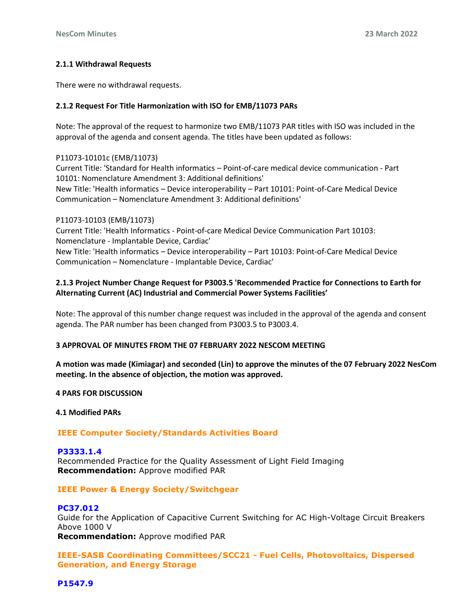# **2.1.1 Withdrawal Requests**

There were no withdrawal requests.

# **2.1.2 Request For Title Harmonization with ISO for EMB/11073 PARs**

Note: The approval of the request to harmonize two EMB/11073 PAR titles with ISO was included in the approval of the agenda and consent agenda. The titles have been updated as follows:

## P11073-10101c (EMB/11073)

Current Title: 'Standard for Health informatics – Point-of-care medical device communication - Part 10101: Nomenclature Amendment 3: Additional definitions' New Title: 'Health informatics – Device interoperability – Part 10101: Point-of-Care Medical Device Communication – Nomenclature Amendment 3: Additional definitions'

## P11073-10103 (EMB/11073)

Current Title: 'Health Informatics - Point-of-care Medical Device Communication Part 10103: Nomenclature - Implantable Device, Cardiac' New Title: 'Health informatics – Device interoperability – Part 10103: Point-of-Care Medical Device Communication – Nomenclature - Implantable Device, Cardiac'

# **2.1.3 Project Number Change Request for P3003.5 'Recommended Practice for Connections to Earth for Alternating Current (AC) Industrial and Commercial Power Systems Facilities'**

Note: The approval of this number change request was included in the approval of the agenda and consent agenda. The PAR number has been changed from P3003.5 to P3003.4.

# **3 APPROVAL OF MINUTES FROM THE 07 FEBRUARY 2022 NESCOM MEETING**

**A motion was made (Kimiagar) and seconded (Lin) to approve the minutes of the 07 February 2022 NesCom meeting. In the absence of objection, the motion was approved.**

## **4 PARS FOR DISCUSSION**

# **4.1 Modified PARs**

# **IEEE Computer Society/Standards Activities Board**

**P3333.1.4** Recommended Practice for the Quality Assessment of Light Field Imaging **Recommendation:** Approve modified PAR

# **IEEE Power & Energy Society/Switchgear**

## **PC37.012**

Guide for the Application of Capacitive Current Switching for AC High-Voltage Circuit Breakers Above 1000 V

**Recommendation:** Approve modified PAR

**IEEE-SASB Coordinating Committees/SCC21 - Fuel Cells, Photovoltaics, Dispersed Generation, and Energy Storage**

**P1547.9**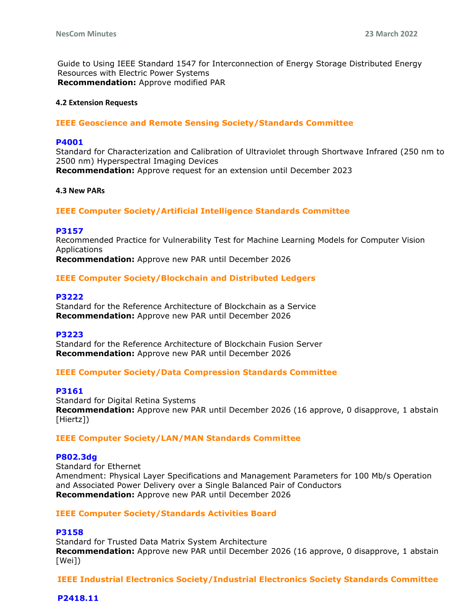Guide to Using IEEE Standard 1547 for Interconnection of Energy Storage Distributed Energy Resources with Electric Power Systems **Recommendation:** Approve modified PAR

## **4.2 Extension Requests**

# **IEEE Geoscience and Remote Sensing Society/Standards Committee**

## **P4001**

Standard for Characterization and Calibration of Ultraviolet through Shortwave Infrared (250 nm to 2500 nm) Hyperspectral Imaging Devices **Recommendation:** Approve request for an extension until December 2023

#### **4.3 New PARs**

# **IEEE Computer Society/Artificial Intelligence Standards Committee**

## **P3157**

Recommended Practice for Vulnerability Test for Machine Learning Models for Computer Vision Applications

**Recommendation:** Approve new PAR until December 2026

# **IEEE Computer Society/Blockchain and Distributed Ledgers**

## **P3222**

Standard for the Reference Architecture of Blockchain as a Service **Recommendation:** Approve new PAR until December 2026

## **P3223**

Standard for the Reference Architecture of Blockchain Fusion Server **Recommendation:** Approve new PAR until December 2026

## **IEEE Computer Society/Data Compression Standards Committee**

## **P3161**

Standard for Digital Retina Systems **Recommendation:** Approve new PAR until December 2026 (16 approve, 0 disapprove, 1 abstain [Hiertz])

## **IEEE Computer Society/LAN/MAN Standards Committee**

#### **P802.3dg**

Standard for Ethernet Amendment: Physical Layer Specifications and Management Parameters for 100 Mb/s Operation and Associated Power Delivery over a Single Balanced Pair of Conductors **Recommendation:** Approve new PAR until December 2026

## **IEEE Computer Society/Standards Activities Board**

# **P3158**

Standard for Trusted Data Matrix System Architecture **Recommendation:** Approve new PAR until December 2026 (16 approve, 0 disapprove, 1 abstain [Wei])

**IEEE Industrial Electronics Society/Industrial Electronics Society Standards Committee** 

## **P2418.11**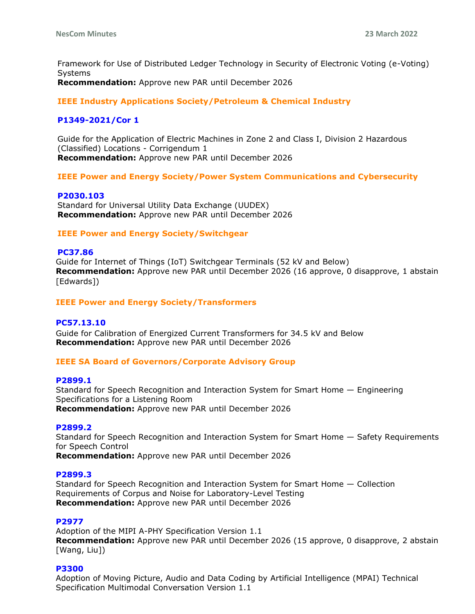Framework for Use of Distributed Ledger Technology in Security of Electronic Voting (e-Voting) Systems

**Recommendation:** Approve new PAR until December 2026

**IEEE Industry Applications Society/Petroleum & Chemical Industry** 

# **P1349-2021/Cor 1**

Guide for the Application of Electric Machines in Zone 2 and Class I, Division 2 Hazardous (Classified) Locations - Corrigendum 1 **Recommendation:** Approve new PAR until December 2026

**IEEE Power and Energy Society/Power System Communications and Cybersecurity** 

## **P2030.103**

Standard for Universal Utility Data Exchange (UUDEX) **Recommendation:** Approve new PAR until December 2026

# **IEEE Power and Energy Society/Switchgear**

## **PC37.86**

Guide for Internet of Things (IoT) Switchgear Terminals (52 kV and Below) **Recommendation:** Approve new PAR until December 2026 (16 approve, 0 disapprove, 1 abstain [Edwards])

# **IEEE Power and Energy Society/Transformers**

## **PC57.13.10**

Guide for Calibration of Energized Current Transformers for 34.5 kV and Below **Recommendation:** Approve new PAR until December 2026

## **IEEE SA Board of Governors/Corporate Advisory Group**

## **P2899.1**

Standard for Speech Recognition and Interaction System for Smart Home — Engineering Specifications for a Listening Room **Recommendation:** Approve new PAR until December 2026

## **P2899.2**

Standard for Speech Recognition and Interaction System for Smart Home — Safety Requirements for Speech Control

**Recommendation:** Approve new PAR until December 2026

## **P2899.3**

Standard for Speech Recognition and Interaction System for Smart Home — Collection Requirements of Corpus and Noise for Laboratory-Level Testing **Recommendation:** Approve new PAR until December 2026

## **P2977**

Adoption of the MIPI A-PHY Specification Version 1.1 **Recommendation:** Approve new PAR until December 2026 (15 approve, 0 disapprove, 2 abstain [Wang, Liu])

## **P3300**

Adoption of Moving Picture, Audio and Data Coding by Artificial Intelligence (MPAI) Technical Specification Multimodal Conversation Version 1.1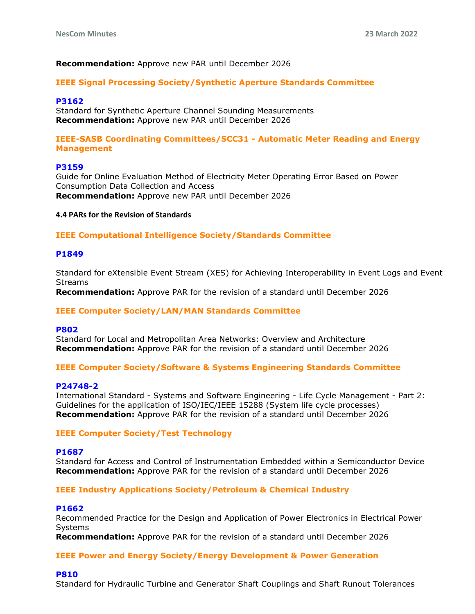# **Recommendation:** Approve new PAR until December 2026

## **IEEE Signal Processing Society/Synthetic Aperture Standards Committee**

#### **P3162**

Standard for Synthetic Aperture Channel Sounding Measurements **Recommendation:** Approve new PAR until December 2026

## **IEEE-SASB Coordinating Committees/SCC31 - Automatic Meter Reading and Energy Management**

#### **P3159**

Guide for Online Evaluation Method of Electricity Meter Operating Error Based on Power Consumption Data Collection and Access **Recommendation:** Approve new PAR until December 2026

#### **4.4 PARs for the Revision of Standards**

# **IEEE Computational Intelligence Society/Standards Committee**

#### **P1849**

Standard for eXtensible Event Stream (XES) for Achieving Interoperability in Event Logs and Event Streams

**Recommendation:** Approve PAR for the revision of a standard until December 2026

#### **IEEE Computer Society/LAN/MAN Standards Committee**

#### **P802**

Standard for Local and Metropolitan Area Networks: Overview and Architecture **Recommendation:** Approve PAR for the revision of a standard until December 2026

#### **IEEE Computer Society/Software & Systems Engineering Standards Committee**

#### **P24748-2**

International Standard - Systems and Software Engineering - Life Cycle Management - Part 2: Guidelines for the application of ISO/IEC/IEEE 15288 (System life cycle processes) **Recommendation:** Approve PAR for the revision of a standard until December 2026

## **IEEE Computer Society/Test Technology**

#### **P1687**

Standard for Access and Control of Instrumentation Embedded within a Semiconductor Device **Recommendation:** Approve PAR for the revision of a standard until December 2026

## **IEEE Industry Applications Society/Petroleum & Chemical Industry**

#### **P1662**

Recommended Practice for the Design and Application of Power Electronics in Electrical Power Systems

**Recommendation:** Approve PAR for the revision of a standard until December 2026

## **IEEE Power and Energy Society/Energy Development & Power Generation**

#### **P810**

Standard for Hydraulic Turbine and Generator Shaft Couplings and Shaft Runout Tolerances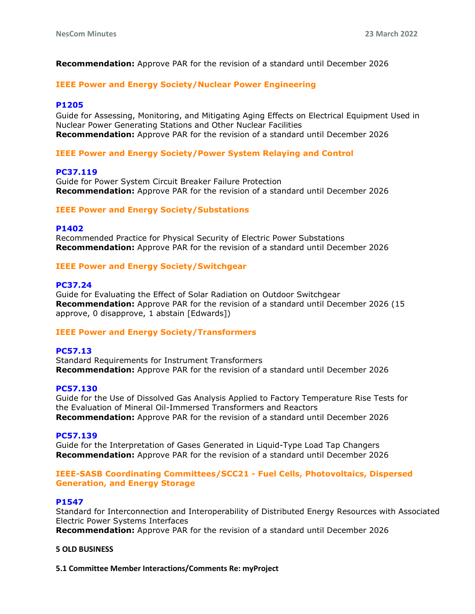**Recommendation:** Approve PAR for the revision of a standard until December 2026

## **IEEE Power and Energy Society/Nuclear Power Engineering**

## **P1205**

Guide for Assessing, Monitoring, and Mitigating Aging Effects on Electrical Equipment Used in Nuclear Power Generating Stations and Other Nuclear Facilities **Recommendation:** Approve PAR for the revision of a standard until December 2026

## **IEEE Power and Energy Society/Power System Relaying and Control**

## **PC37.119**

Guide for Power System Circuit Breaker Failure Protection **Recommendation:** Approve PAR for the revision of a standard until December 2026

#### **IEEE Power and Energy Society/Substations**

#### **P1402**

Recommended Practice for Physical Security of Electric Power Substations **Recommendation:** Approve PAR for the revision of a standard until December 2026

#### **IEEE Power and Energy Society/Switchgear**

#### **PC37.24**

Guide for Evaluating the Effect of Solar Radiation on Outdoor Switchgear **Recommendation:** Approve PAR for the revision of a standard until December 2026 (15 approve, 0 disapprove, 1 abstain [Edwards])

# **IEEE Power and Energy Society/Transformers**

## **PC57.13**

Standard Requirements for Instrument Transformers **Recommendation:** Approve PAR for the revision of a standard until December 2026

#### **PC57.130**

Guide for the Use of Dissolved Gas Analysis Applied to Factory Temperature Rise Tests for the Evaluation of Mineral Oil-Immersed Transformers and Reactors **Recommendation:** Approve PAR for the revision of a standard until December 2026

#### **PC57.139**

Guide for the Interpretation of Gases Generated in Liquid-Type Load Tap Changers **Recommendation:** Approve PAR for the revision of a standard until December 2026

# **IEEE-SASB Coordinating Committees/SCC21 - Fuel Cells, Photovoltaics, Dispersed Generation, and Energy Storage**

#### **P1547**

Standard for Interconnection and Interoperability of Distributed Energy Resources with Associated Electric Power Systems Interfaces

**Recommendation:** Approve PAR for the revision of a standard until December 2026

## **5 OLD BUSINESS**

**5.1 Committee Member Interactions/Comments Re: myProject**